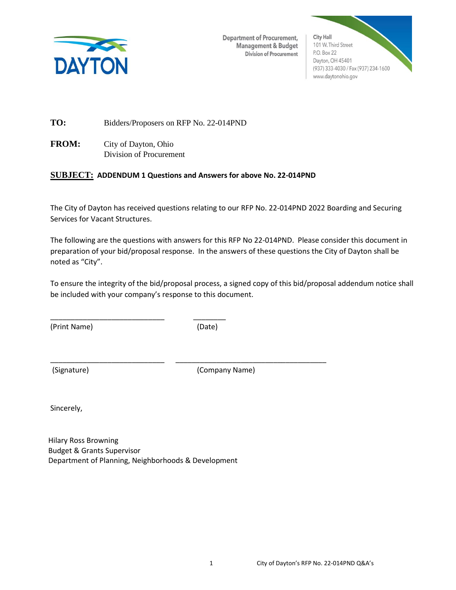

**Department of Procurement,** Management & Budget Division of Procurement



**TO:** Bidders/Proposers on RFP No. 22-014PND

**FROM:** City of Dayton, Ohio Division of Procurement

## **SUBJECT: ADDENDUM 1 Questions and Answers for above No. 22-014PND**

The City of Dayton has received questions relating to our RFP No. 22-014PND 2022 Boarding and Securing Services for Vacant Structures.

The following are the questions with answers for this RFP No 22-014PND. Please consider this document in preparation of your bid/proposal response. In the answers of these questions the City of Dayton shall be noted as "City".

To ensure the integrity of the bid/proposal process, a signed copy of this bid/proposal addendum notice shall be included with your company's response to this document.

(Print Name) (Date)

\_\_\_\_\_\_\_\_\_\_\_\_\_\_\_\_\_\_\_\_\_\_\_\_\_\_\_\_ \_\_\_\_\_\_\_\_\_\_\_\_\_\_\_\_\_\_\_\_\_\_\_\_\_\_\_\_\_\_\_\_\_\_\_\_\_

(Signature) (Company Name)

Sincerely,

Hilary Ross Browning Budget & Grants Supervisor Department of Planning, Neighborhoods & Development

\_\_\_\_\_\_\_\_\_\_\_\_\_\_\_\_\_\_\_\_\_\_\_\_\_\_\_\_ \_\_\_\_\_\_\_\_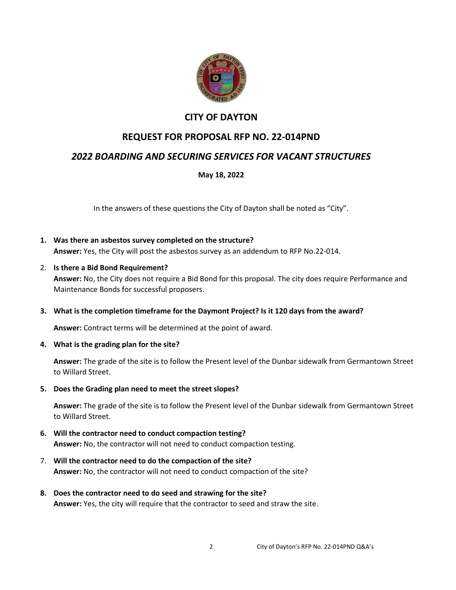

## **CITY OF DAYTON**

# **REQUEST FOR PROPOSAL RFP NO. 22-014PND**

# *2022 BOARDING AND SECURING SERVICES FOR VACANT STRUCTURES*

## **May 18, 2022**

In the answers of these questions the City of Dayton shall be noted as "City".

- **1. Was there an asbestos survey completed on the structure? Answer:** Yes, the City will post the asbestos survey as an addendum to RFP No.22-014.
- 2. **Is there a Bid Bond Requirement? Answer:** No, the City does not require a Bid Bond for this proposal. The city does require Performance and
- **3. What is the completion timeframe for the Daymont Project? Is it 120 days from the award?**

**Answer:** Contract terms will be determined at the point of award.

**4. What is the grading plan for the site?**

Maintenance Bonds for successful proposers.

**Answer:** The grade of the site is to follow the Present level of the Dunbar sidewalk from Germantown Street to Willard Street.

**5. Does the Grading plan need to meet the street slopes?**

**Answer:** The grade of the site is to follow the Present level of the Dunbar sidewalk from Germantown Street to Willard Street.

- **6. Will the contractor need to conduct compaction testing? Answer:** No, the contractor will not need to conduct compaction testing.
- 7. **Will the contractor need to do the compaction of the site? Answer:** No, the contractor will not need to conduct compaction of the site?
- **8. Does the contractor need to do seed and strawing for the site? Answer:** Yes, the city will require that the contractor to seed and straw the site.